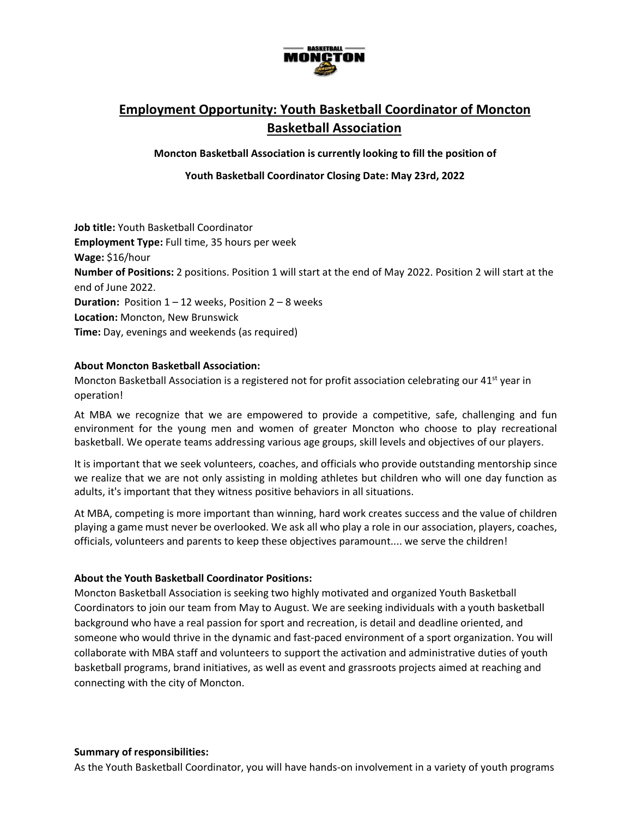

# **Employment Opportunity: Youth Basketball Coordinator of Moncton Basketball Association**

**Moncton Basketball Association is currently looking to fill the position of**

**Youth Basketball Coordinator Closing Date: May 23rd, 2022**

**Job title:** Youth Basketball Coordinator **Employment Type:** Full time, 35 hours per week **Wage:** \$16/hour **Number of Positions:** 2 positions. Position 1 will start at the end of May 2022. Position 2 will start at the end of June 2022. **Duration:** Position 1 – 12 weeks, Position 2 – 8 weeks **Location:** Moncton, New Brunswick **Time:** Day, evenings and weekends (as required)

### **About Moncton Basketball Association:**

Moncton Basketball Association is a registered not for profit association celebrating our 41<sup>st</sup> year in operation!

At MBA we recognize that we are empowered to provide a competitive, safe, challenging and fun environment for the young men and women of greater Moncton who choose to play recreational basketball. We operate teams addressing various age groups, skill levels and objectives of our players.

It is important that we seek volunteers, coaches, and officials who provide outstanding mentorship since we realize that we are not only assisting in molding athletes but children who will one day function as adults, it's important that they witness positive behaviors in all situations.

At MBA, competing is more important than winning, hard work creates success and the value of children playing a game must never be overlooked. We ask all who play a role in our association, players, coaches, officials, volunteers and parents to keep these objectives paramount.... we serve the children!

#### **About the Youth Basketball Coordinator Positions:**

Moncton Basketball Association is seeking two highly motivated and organized Youth Basketball Coordinators to join our team from May to August. We are seeking individuals with a youth basketball background who have a real passion for sport and recreation, is detail and deadline oriented, and someone who would thrive in the dynamic and fast-paced environment of a sport organization. You will collaborate with MBA staff and volunteers to support the activation and administrative duties of youth basketball programs, brand initiatives, as well as event and grassroots projects aimed at reaching and connecting with the city of Moncton.

As the Youth Basketball Coordinator, you will have hands-on involvement in a variety of youth programs